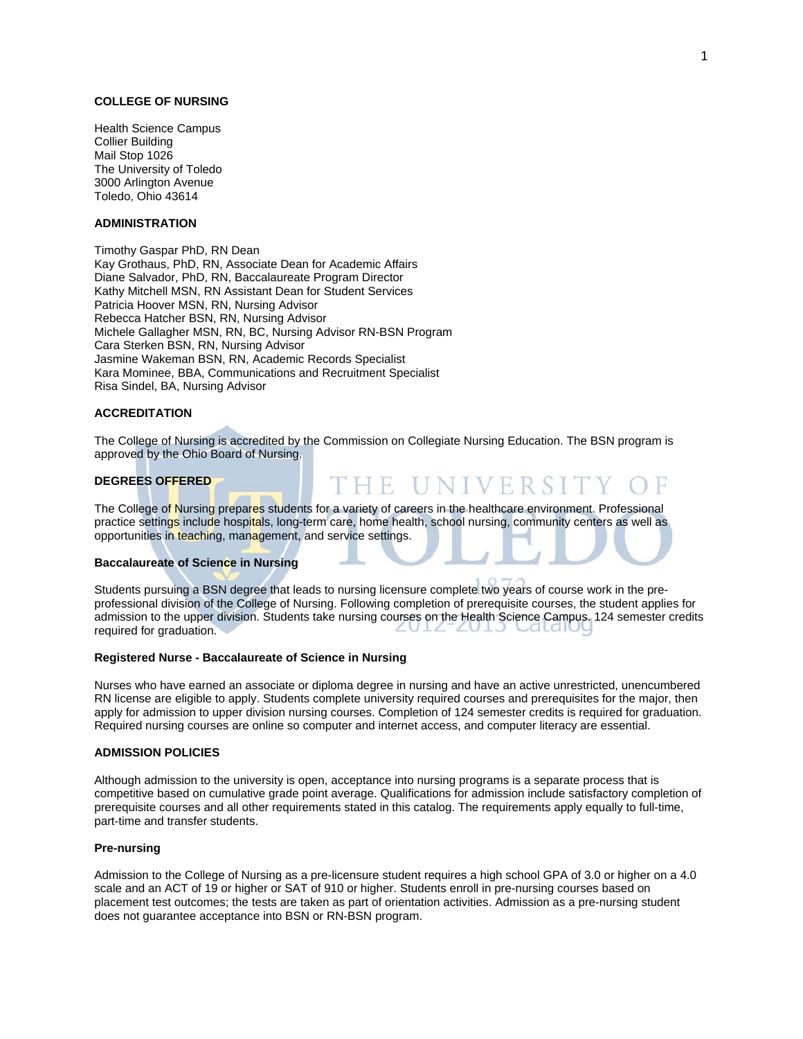## **COLLEGE OF NURSING**

Health Science Campus Collier Building Mail Stop 1026 The University of Toledo 3000 Arlington Avenue Toledo, Ohio 43614

## **ADMINISTRATION**

Timothy Gaspar PhD, RN Dean Kay Grothaus, PhD, RN, Associate Dean for Academic Affairs Diane Salvador, PhD, RN, Baccalaureate Program Director Kathy Mitchell MSN, RN Assistant Dean for Student Services Patricia Hoover MSN, RN, Nursing Advisor Rebecca Hatcher BSN, RN, Nursing Advisor Michele Gallagher MSN, RN, BC, Nursing Advisor RN-BSN Program Cara Sterken BSN, RN, Nursing Advisor Jasmine Wakeman BSN, RN, Academic Records Specialist Kara Mominee, BBA, Communications and Recruitment Specialist Risa Sindel, BA, Nursing Advisor

## **ACCREDITATION**

The College of Nursing is accredited by the Commission on Collegiate Nursing Education. The BSN program is approved by the Ohio Board of Nursing.

THE UNIVERSIT

#### **DEGREES OFFERED**

The College of Nursing prepares students for a variety of careers in the healthcare environment. Professional practice settings include hospitals, long-term care, home health, school nursing, community centers as well as opportunities in teaching, management, and service settings.

#### **Baccalaureate of Science in Nursing**

Students pursuing a BSN degree that leads to nursing licensure complete two years of course work in the preprofessional division of the College of Nursing. Following completion of prerequisite courses, the student applies for admission to the upper division. Students take nursing courses on the Health Science Campus. 124 semester credits required for graduation.

#### **Registered Nurse - Baccalaureate of Science in Nursing**

Nurses who have earned an associate or diploma degree in nursing and have an active unrestricted, unencumbered RN license are eligible to apply. Students complete university required courses and prerequisites for the major, then apply for admission to upper division nursing courses. Completion of 124 semester credits is required for graduation. Required nursing courses are online so computer and internet access, and computer literacy are essential.

#### **ADMISSION POLICIES**

Although admission to the university is open, acceptance into nursing programs is a separate process that is competitive based on cumulative grade point average. Qualifications for admission include satisfactory completion of prerequisite courses and all other requirements stated in this catalog. The requirements apply equally to full-time, part-time and transfer students.

#### **Pre-nursing**

Admission to the College of Nursing as a pre-licensure student requires a high school GPA of 3.0 or higher on a 4.0 scale and an ACT of 19 or higher or SAT of 910 or higher. Students enroll in pre-nursing courses based on placement test outcomes; the tests are taken as part of orientation activities. Admission as a pre-nursing student does not guarantee acceptance into BSN or RN-BSN program.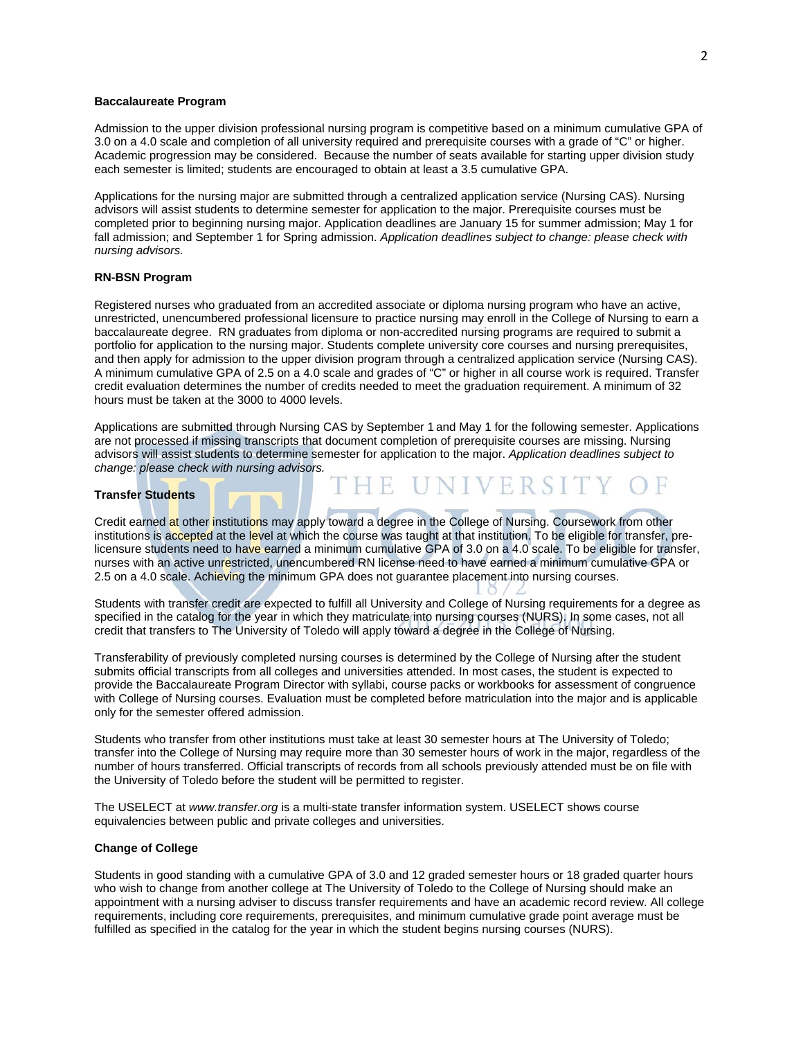## **Baccalaureate Program**

Admission to the upper division professional nursing program is competitive based on a minimum cumulative GPA of 3.0 on a 4.0 scale and completion of all university required and prerequisite courses with a grade of "C" or higher. Academic progression may be considered. Because the number of seats available for starting upper division study each semester is limited; students are encouraged to obtain at least a 3.5 cumulative GPA.

Applications for the nursing major are submitted through a centralized application service (Nursing CAS). Nursing advisors will assist students to determine semester for application to the major. Prerequisite courses must be completed prior to beginning nursing major. Application deadlines are January 15 for summer admission; May 1 for fall admission; and September 1 for Spring admission. *Application deadlines subject to change: please check with nursing advisors.* 

## **RN-BSN Program**

Registered nurses who graduated from an accredited associate or diploma nursing program who have an active, unrestricted, unencumbered professional licensure to practice nursing may enroll in the College of Nursing to earn a baccalaureate degree. RN graduates from diploma or non-accredited nursing programs are required to submit a portfolio for application to the nursing major. Students complete university core courses and nursing prerequisites, and then apply for admission to the upper division program through a centralized application service (Nursing CAS). A minimum cumulative GPA of 2.5 on a 4.0 scale and grades of "C" or higher in all course work is required. Transfer credit evaluation determines the number of credits needed to meet the graduation requirement. A minimum of 32 hours must be taken at the 3000 to 4000 levels.

Applications are submitted through Nursing CAS by September 1 and May 1 for the following semester. Applications are not processed if missing transcripts that document completion of prerequisite courses are missing. Nursing advisors will assist students to determine semester for application to the major. *Application deadlines subject to change: please check with nursing advisors.* 

**ERS** 

## **Transfer Students**

Credit earned at other institutions may apply toward a degree in the College of Nursing. Coursework from other institutions is accepted at the level at which the course was taught at that institution. To be eligible for transfer, prelicensure students need to have earned a minimum cumulative GPA of 3.0 on a 4.0 scale. To be eligible for transfer, nurses with an active unrestricted, unencumbered RN license need to have earned a minimum cumulative GPA or 2.5 on a 4.0 scale. Achieving the minimum GPA does not guarantee placement into nursing courses.

Students with transfer credit are expected to fulfill all University and College of Nursing requirements for a degree as specified in the catalog for the year in which they matriculate into nursing courses (NURS). In some cases, not all credit that transfers to The University of Toledo will apply toward a degree in the College of Nursing.

Transferability of previously completed nursing courses is determined by the College of Nursing after the student submits official transcripts from all colleges and universities attended. In most cases, the student is expected to provide the Baccalaureate Program Director with syllabi, course packs or workbooks for assessment of congruence with College of Nursing courses. Evaluation must be completed before matriculation into the major and is applicable only for the semester offered admission.

Students who transfer from other institutions must take at least 30 semester hours at The University of Toledo; transfer into the College of Nursing may require more than 30 semester hours of work in the major, regardless of the number of hours transferred. Official transcripts of records from all schools previously attended must be on file with the University of Toledo before the student will be permitted to register.

The USELECT at *www.transfer.org* is a multi-state transfer information system. USELECT shows course equivalencies between public and private colleges and universities.

## **Change of College**

Students in good standing with a cumulative GPA of 3.0 and 12 graded semester hours or 18 graded quarter hours who wish to change from another college at The University of Toledo to the College of Nursing should make an appointment with a nursing adviser to discuss transfer requirements and have an academic record review. All college requirements, including core requirements, prerequisites, and minimum cumulative grade point average must be fulfilled as specified in the catalog for the year in which the student begins nursing courses (NURS).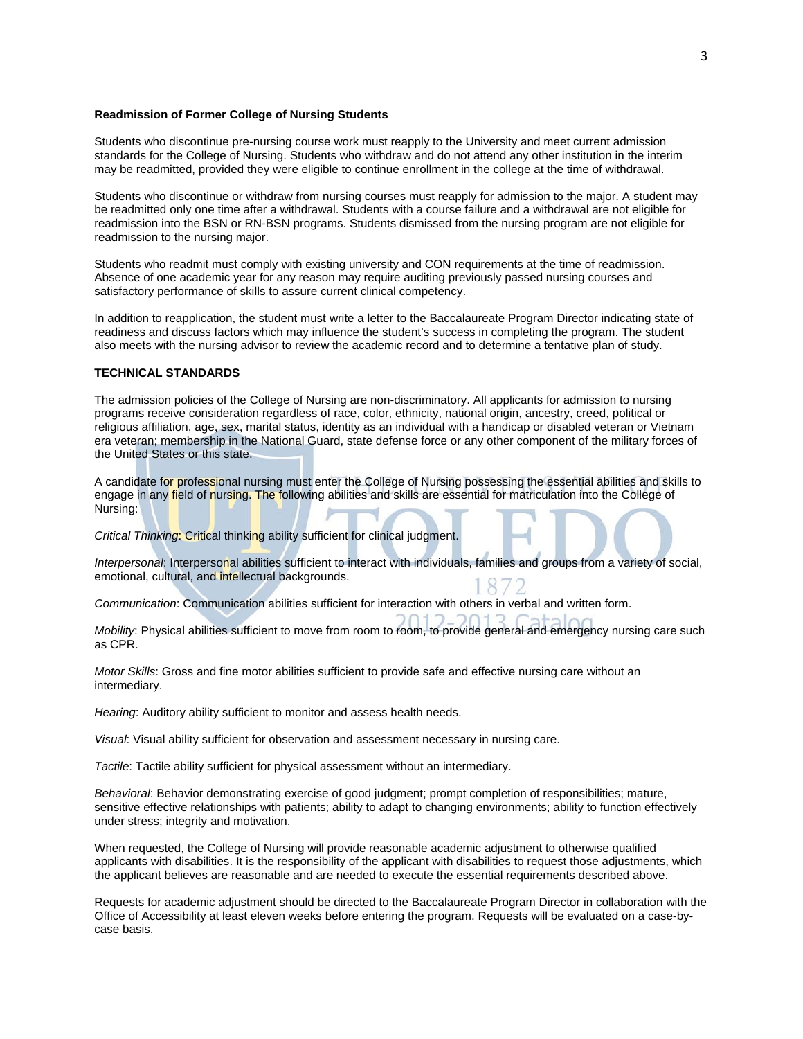#### **Readmission of Former College of Nursing Students**

Students who discontinue pre-nursing course work must reapply to the University and meet current admission standards for the College of Nursing. Students who withdraw and do not attend any other institution in the interim may be readmitted, provided they were eligible to continue enrollment in the college at the time of withdrawal.

Students who discontinue or withdraw from nursing courses must reapply for admission to the major. A student may be readmitted only one time after a withdrawal. Students with a course failure and a withdrawal are not eligible for readmission into the BSN or RN-BSN programs. Students dismissed from the nursing program are not eligible for readmission to the nursing major.

Students who readmit must comply with existing university and CON requirements at the time of readmission. Absence of one academic year for any reason may require auditing previously passed nursing courses and satisfactory performance of skills to assure current clinical competency.

In addition to reapplication, the student must write a letter to the Baccalaureate Program Director indicating state of readiness and discuss factors which may influence the student's success in completing the program. The student also meets with the nursing advisor to review the academic record and to determine a tentative plan of study.

## **TECHNICAL STANDARDS**

The admission policies of the College of Nursing are non-discriminatory. All applicants for admission to nursing programs receive consideration regardless of race, color, ethnicity, national origin, ancestry, creed, political or religious affiliation, age, sex, marital status, identity as an individual with a handicap or disabled veteran or Vietnam era veteran; membership in the National Guard, state defense force or any other component of the military forces of the United States or this state.

A candidate for professional nursing must enter the College of Nursing possessing the essential abilities and skills to engage in any field of nursing. The following abilities and skills are essential for matriculation into the College of Nursing:

*Critical Thinking*: Critical thinking ability sufficient for clinical judgment.

*Interpersonal*: Interpersonal abilities sufficient to interact with individuals, families and groups from a variety of social, emotional, cultural, and intellectual backgrounds.

*Communication*: Communication abilities sufficient for interaction with others in verbal and written form.

*Mobility*: Physical abilities sufficient to move from room to room, to provide general and emergency nursing care such as CPR.

 $0112.2012$ 

*Motor Skills*: Gross and fine motor abilities sufficient to provide safe and effective nursing care without an intermediary.

*Hearing*: Auditory ability sufficient to monitor and assess health needs.

*Visual*: Visual ability sufficient for observation and assessment necessary in nursing care.

*Tactile*: Tactile ability sufficient for physical assessment without an intermediary.

*Behavioral*: Behavior demonstrating exercise of good judgment; prompt completion of responsibilities; mature, sensitive effective relationships with patients; ability to adapt to changing environments; ability to function effectively under stress; integrity and motivation.

When requested, the College of Nursing will provide reasonable academic adjustment to otherwise qualified applicants with disabilities. It is the responsibility of the applicant with disabilities to request those adjustments, which the applicant believes are reasonable and are needed to execute the essential requirements described above.

Requests for academic adjustment should be directed to the Baccalaureate Program Director in collaboration with the Office of Accessibility at least eleven weeks before entering the program. Requests will be evaluated on a case-bycase basis.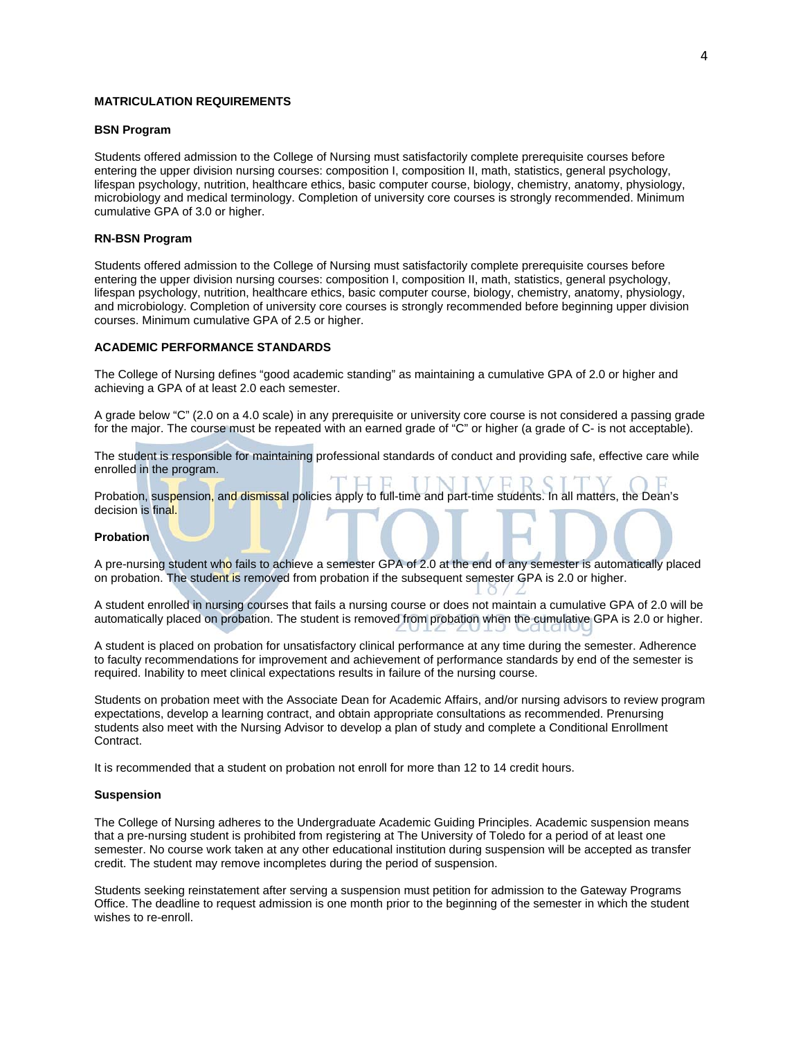## **MATRICULATION REQUIREMENTS**

## **BSN Program**

Students offered admission to the College of Nursing must satisfactorily complete prerequisite courses before entering the upper division nursing courses: composition I, composition II, math, statistics, general psychology, lifespan psychology, nutrition, healthcare ethics, basic computer course, biology, chemistry, anatomy, physiology, microbiology and medical terminology. Completion of university core courses is strongly recommended. Minimum cumulative GPA of 3.0 or higher.

## **RN-BSN Program**

Students offered admission to the College of Nursing must satisfactorily complete prerequisite courses before entering the upper division nursing courses: composition I, composition II, math, statistics, general psychology, lifespan psychology, nutrition, healthcare ethics, basic computer course, biology, chemistry, anatomy, physiology, and microbiology. Completion of university core courses is strongly recommended before beginning upper division courses. Minimum cumulative GPA of 2.5 or higher.

## **ACADEMIC PERFORMANCE STANDARDS**

The College of Nursing defines "good academic standing" as maintaining a cumulative GPA of 2.0 or higher and achieving a GPA of at least 2.0 each semester.

A grade below "C" (2.0 on a 4.0 scale) in any prerequisite or university core course is not considered a passing grade for the major. The course must be repeated with an earned grade of "C" or higher (a grade of C- is not acceptable).

The student is responsible for maintaining professional standards of conduct and providing safe, effective care while enrolled in the program.

Probation, suspension, and dismissal policies apply to full-time and part-time students. In all matters, the Dean's decision is final.

#### **Probation**

A pre-nursing student who fails to achieve a semester GPA of 2.0 at the end of any semester is automatically placed on probation. The student is removed from probation if the subsequent semester GPA is 2.0 or higher.

A student enrolled in nursing courses that fails a nursing course or does not maintain a cumulative GPA of 2.0 will be automatically placed on probation. The student is removed from probation when the cumulative GPA is 2.0 or higher.

A student is placed on probation for unsatisfactory clinical performance at any time during the semester. Adherence to faculty recommendations for improvement and achievement of performance standards by end of the semester is required. Inability to meet clinical expectations results in failure of the nursing course.

Students on probation meet with the Associate Dean for Academic Affairs, and/or nursing advisors to review program expectations, develop a learning contract, and obtain appropriate consultations as recommended. Prenursing students also meet with the Nursing Advisor to develop a plan of study and complete a Conditional Enrollment Contract.

It is recommended that a student on probation not enroll for more than 12 to 14 credit hours.

## **Suspension**

The College of Nursing adheres to the Undergraduate Academic Guiding Principles. Academic suspension means that a pre-nursing student is prohibited from registering at The University of Toledo for a period of at least one semester. No course work taken at any other educational institution during suspension will be accepted as transfer credit. The student may remove incompletes during the period of suspension.

Students seeking reinstatement after serving a suspension must petition for admission to the Gateway Programs Office. The deadline to request admission is one month prior to the beginning of the semester in which the student wishes to re-enroll.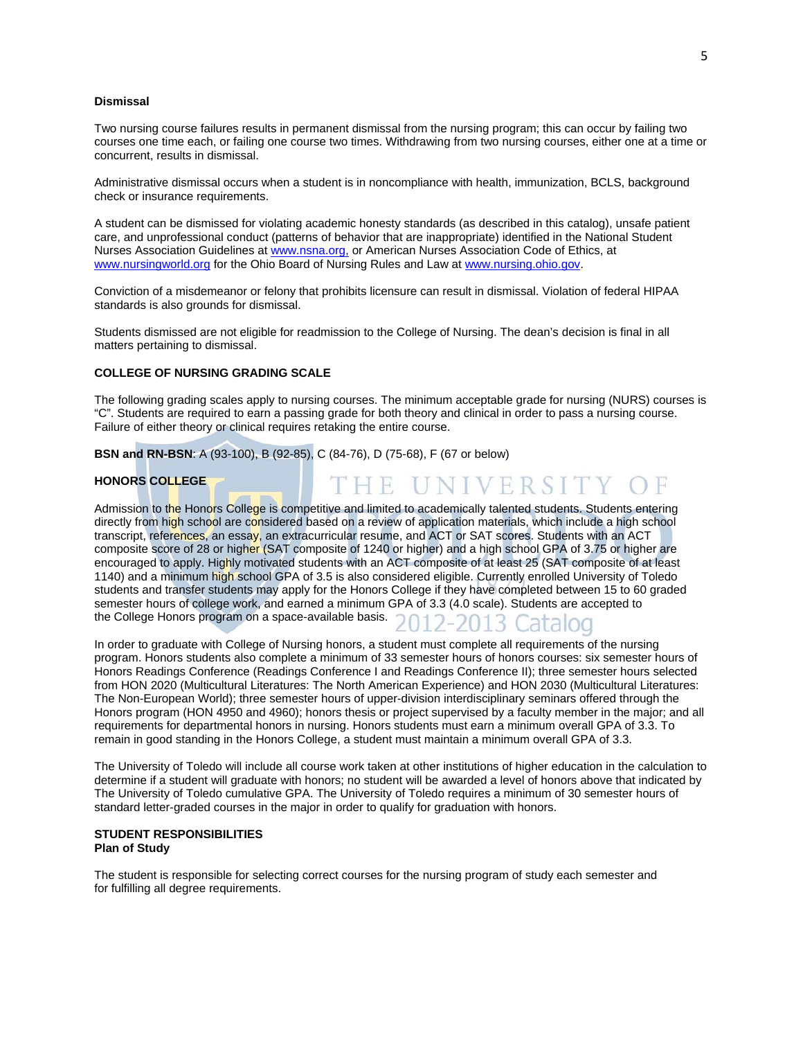#### **Dismissal**

Two nursing course failures results in permanent dismissal from the nursing program; this can occur by failing two courses one time each, or failing one course two times. Withdrawing from two nursing courses, either one at a time or concurrent, results in dismissal.

Administrative dismissal occurs when a student is in noncompliance with health, immunization, BCLS, background check or insurance requirements.

A student can be dismissed for violating academic honesty standards (as described in this catalog), unsafe patient care, and unprofessional conduct (patterns of behavior that are inappropriate) identified in the National Student Nurses Association Guidelines at www.nsna.org, or American Nurses Association Code of Ethics, at www.nursingworld.org for the Ohio Board of Nursing Rules and Law at www.nursing.ohio.gov.

Conviction of a misdemeanor or felony that prohibits licensure can result in dismissal. Violation of federal HIPAA standards is also grounds for dismissal.

Students dismissed are not eligible for readmission to the College of Nursing. The dean's decision is final in all matters pertaining to dismissal.

## **COLLEGE OF NURSING GRADING SCALE**

The following grading scales apply to nursing courses. The minimum acceptable grade for nursing (NURS) courses is "C". Students are required to earn a passing grade for both theory and clinical in order to pass a nursing course. Failure of either theory or clinical requires retaking the entire course.

THE UNIVERSITY OF

**BSN and RN-BSN**: A (93-100), B (92-85), C (84-76), D (75-68), F (67 or below)

## **HONORS COLLEGE**

Admission to the Honors College is competitive and limited to academically talented students. Students entering directly from high school are considered based on a review of application materials, which include a high school transcript, references, an essay, an extracurricular resume, and ACT or SAT scores. Students with an ACT composite score of 28 or higher (SAT composite of 1240 or higher) and a high school GPA of 3.75 or higher are encouraged to apply. Highly motivated students with an ACT composite of at least 25 (SAT composite of at least 1140) and a minimum high school GPA of 3.5 is also considered eligible. Currently enrolled University of Toledo students and transfer students may apply for the Honors College if they have completed between 15 to 60 graded semester hours of college work, and earned a minimum GPA of 3.3 (4.0 scale). Students are accepted to semester hours of college work, who concrete the College Honors program on a space-available basis. 2012-2013 Catalog

In order to graduate with College of Nursing honors, a student must complete all requirements of the nursing program. Honors students also complete a minimum of 33 semester hours of honors courses: six semester hours of Honors Readings Conference (Readings Conference I and Readings Conference II); three semester hours selected from HON 2020 (Multicultural Literatures: The North American Experience) and HON 2030 (Multicultural Literatures: The Non-European World); three semester hours of upper-division interdisciplinary seminars offered through the Honors program (HON 4950 and 4960); honors thesis or project supervised by a faculty member in the major; and all requirements for departmental honors in nursing. Honors students must earn a minimum overall GPA of 3.3. To remain in good standing in the Honors College, a student must maintain a minimum overall GPA of 3.3.

The University of Toledo will include all course work taken at other institutions of higher education in the calculation to determine if a student will graduate with honors; no student will be awarded a level of honors above that indicated by The University of Toledo cumulative GPA. The University of Toledo requires a minimum of 30 semester hours of standard letter-graded courses in the major in order to qualify for graduation with honors.

## **STUDENT RESPONSIBILITIES Plan of Study**

The student is responsible for selecting correct courses for the nursing program of study each semester and for fulfilling all degree requirements.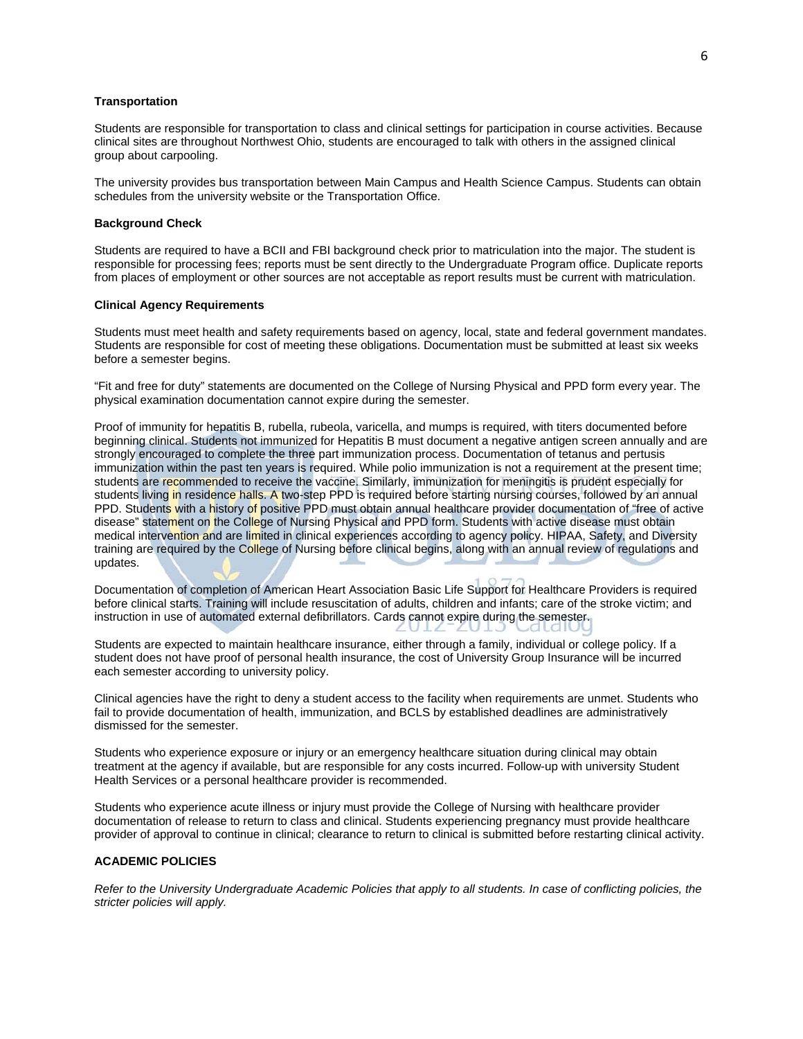## **Transportation**

Students are responsible for transportation to class and clinical settings for participation in course activities. Because clinical sites are throughout Northwest Ohio, students are encouraged to talk with others in the assigned clinical group about carpooling.

The university provides bus transportation between Main Campus and Health Science Campus. Students can obtain schedules from the university website or the Transportation Office.

## **Background Check**

Students are required to have a BCII and FBI background check prior to matriculation into the major. The student is responsible for processing fees; reports must be sent directly to the Undergraduate Program office. Duplicate reports from places of employment or other sources are not acceptable as report results must be current with matriculation.

#### **Clinical Agency Requirements**

Students must meet health and safety requirements based on agency, local, state and federal government mandates. Students are responsible for cost of meeting these obligations. Documentation must be submitted at least six weeks before a semester begins.

"Fit and free for duty" statements are documented on the College of Nursing Physical and PPD form every year. The physical examination documentation cannot expire during the semester.

Proof of immunity for hepatitis B, rubella, rubeola, varicella, and mumps is required, with titers documented before beginning clinical. Students not immunized for Hepatitis B must document a negative antigen screen annually and are strongly encouraged to complete the three part immunization process. Documentation of tetanus and pertusis immunization within the past ten years is required. While polio immunization is not a requirement at the present time; students are recommended to receive the vaccine. Similarly, immunization for meningitis is prudent especially for students living in residence halls. A two-step PPD is required before starting nursing courses, followed by an annual PPD. Students with a history of positive PPD must obtain annual healthcare provider documentation of "free of active disease" statement on the College of Nursing Physical and PPD form. Students with active disease must obtain medical intervention and are limited in clinical experiences according to agency policy. HIPAA, Safety, and Diversity training are required by the College of Nursing before clinical begins, along with an annual review of regulations and updates.

Documentation of completion of American Heart Association Basic Life Support for Healthcare Providers is required before clinical starts. Training will include resuscitation of adults, children and infants; care of the stroke victim; and instruction in use of automated external defibrillators. Cards cannot expire during the semester.

Students are expected to maintain healthcare insurance, either through a family, individual or college policy. If a student does not have proof of personal health insurance, the cost of University Group Insurance will be incurred each semester according to university policy.

Clinical agencies have the right to deny a student access to the facility when requirements are unmet. Students who fail to provide documentation of health, immunization, and BCLS by established deadlines are administratively dismissed for the semester.

Students who experience exposure or injury or an emergency healthcare situation during clinical may obtain treatment at the agency if available, but are responsible for any costs incurred. Follow-up with university Student Health Services or a personal healthcare provider is recommended.

Students who experience acute illness or injury must provide the College of Nursing with healthcare provider documentation of release to return to class and clinical. Students experiencing pregnancy must provide healthcare provider of approval to continue in clinical; clearance to return to clinical is submitted before restarting clinical activity.

## **ACADEMIC POLICIES**

*Refer to the University Undergraduate Academic Policies that apply to all students. In case of conflicting policies, the stricter policies will apply.*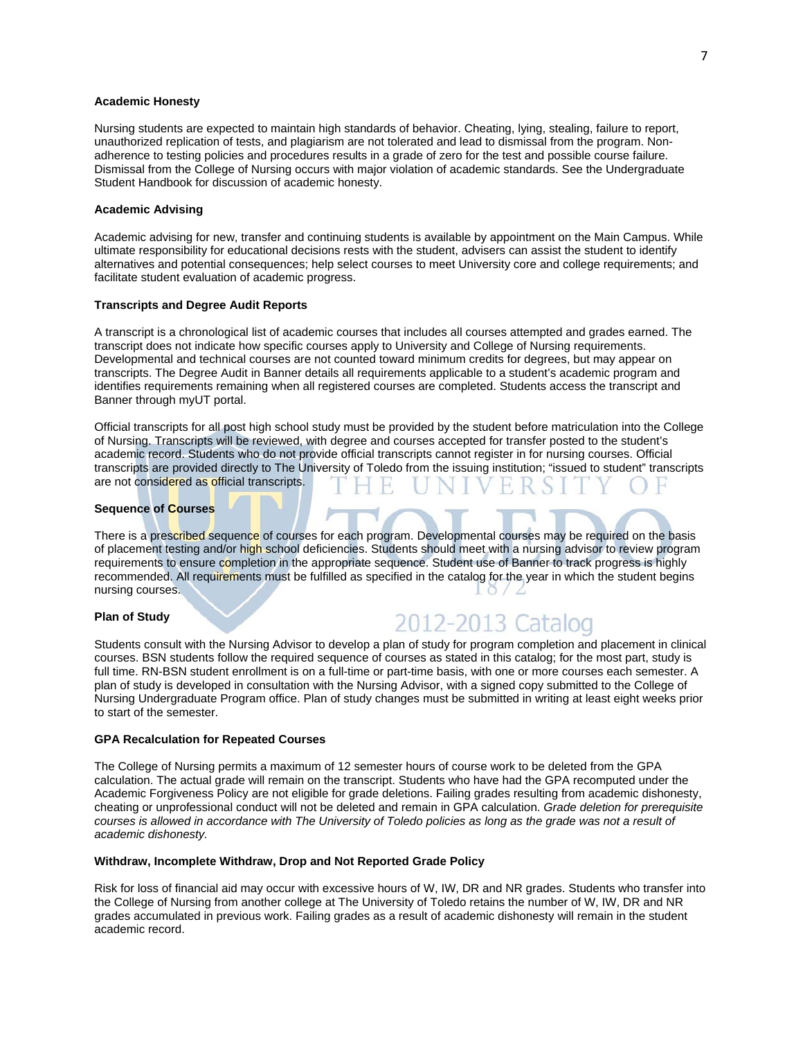## **Academic Honesty**

Nursing students are expected to maintain high standards of behavior. Cheating, lying, stealing, failure to report, unauthorized replication of tests, and plagiarism are not tolerated and lead to dismissal from the program. Nonadherence to testing policies and procedures results in a grade of zero for the test and possible course failure. Dismissal from the College of Nursing occurs with major violation of academic standards. See the Undergraduate Student Handbook for discussion of academic honesty.

## **Academic Advising**

Academic advising for new, transfer and continuing students is available by appointment on the Main Campus. While ultimate responsibility for educational decisions rests with the student, advisers can assist the student to identify alternatives and potential consequences; help select courses to meet University core and college requirements; and facilitate student evaluation of academic progress.

#### **Transcripts and Degree Audit Reports**

A transcript is a chronological list of academic courses that includes all courses attempted and grades earned. The transcript does not indicate how specific courses apply to University and College of Nursing requirements. Developmental and technical courses are not counted toward minimum credits for degrees, but may appear on transcripts. The Degree Audit in Banner details all requirements applicable to a student's academic program and identifies requirements remaining when all registered courses are completed. Students access the transcript and Banner through myUT portal.

Official transcripts for all post high school study must be provided by the student before matriculation into the College of Nursing. Transcripts will be reviewed, with degree and courses accepted for transfer posted to the student's academic record. Students who do not provide official transcripts cannot register in for nursing courses. Official transcripts are provided directly to The University of Toledo from the issuing institution; "issued to student" transcripts are not considered as official transcripts.

#### **Sequence of Courses**

There is a prescribed sequence of courses for each program. Developmental courses may be required on the basis of placement testing and/or high school deficiencies. Students should meet with a nursing advisor to review program requirements to ensure completion in the appropriate sequence. Student use of Banner to track progress is highly recommended. All requirements must be fulfilled as specified in the catalog for the year in which the student begins nursing courses.

## **Plan of Study**

# 2012-2013 Catalog

Students consult with the Nursing Advisor to develop a plan of study for program completion and placement in clinical courses. BSN students follow the required sequence of courses as stated in this catalog; for the most part, study is full time. RN-BSN student enrollment is on a full-time or part-time basis, with one or more courses each semester. A plan of study is developed in consultation with the Nursing Advisor, with a signed copy submitted to the College of Nursing Undergraduate Program office. Plan of study changes must be submitted in writing at least eight weeks prior to start of the semester.

#### **GPA Recalculation for Repeated Courses**

The College of Nursing permits a maximum of 12 semester hours of course work to be deleted from the GPA calculation. The actual grade will remain on the transcript. Students who have had the GPA recomputed under the Academic Forgiveness Policy are not eligible for grade deletions. Failing grades resulting from academic dishonesty, cheating or unprofessional conduct will not be deleted and remain in GPA calculation. *Grade deletion for prerequisite courses is allowed in accordance with The University of Toledo policies as long as the grade was not a result of academic dishonesty.* 

## **Withdraw, Incomplete Withdraw, Drop and Not Reported Grade Policy**

Risk for loss of financial aid may occur with excessive hours of W, IW, DR and NR grades. Students who transfer into the College of Nursing from another college at The University of Toledo retains the number of W, IW, DR and NR grades accumulated in previous work. Failing grades as a result of academic dishonesty will remain in the student academic record.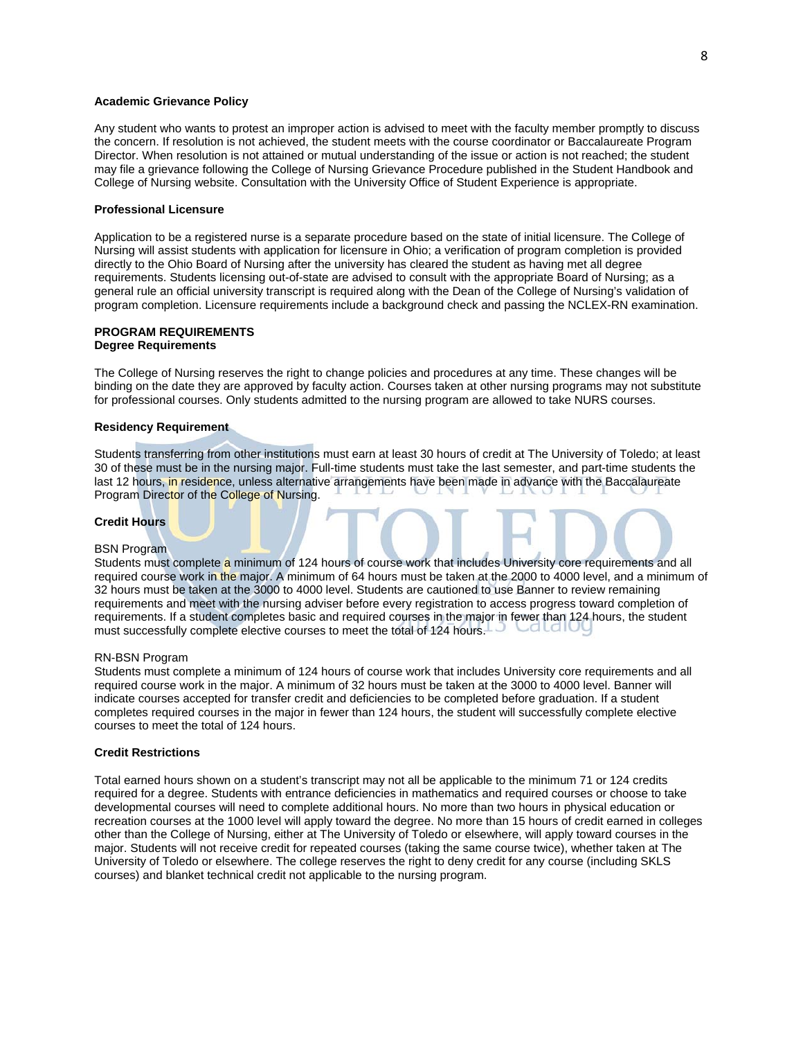## **Academic Grievance Policy**

Any student who wants to protest an improper action is advised to meet with the faculty member promptly to discuss the concern. If resolution is not achieved, the student meets with the course coordinator or Baccalaureate Program Director. When resolution is not attained or mutual understanding of the issue or action is not reached; the student may file a grievance following the College of Nursing Grievance Procedure published in the Student Handbook and College of Nursing website. Consultation with the University Office of Student Experience is appropriate.

## **Professional Licensure**

Application to be a registered nurse is a separate procedure based on the state of initial licensure. The College of Nursing will assist students with application for licensure in Ohio; a verification of program completion is provided directly to the Ohio Board of Nursing after the university has cleared the student as having met all degree requirements. Students licensing out-of-state are advised to consult with the appropriate Board of Nursing; as a general rule an official university transcript is required along with the Dean of the College of Nursing's validation of program completion. Licensure requirements include a background check and passing the NCLEX-RN examination.

## **PROGRAM REQUIREMENTS Degree Requirements**

The College of Nursing reserves the right to change policies and procedures at any time. These changes will be binding on the date they are approved by faculty action. Courses taken at other nursing programs may not substitute for professional courses. Only students admitted to the nursing program are allowed to take NURS courses.

## **Residency Requirement**

Students transferring from other institutions must earn at least 30 hours of credit at The University of Toledo; at least 30 of these must be in the nursing major. Full-time students must take the last semester, and part-time students the last 12 hours, in residence, unless alternative arrangements have been made in advance with the Baccalaureate Program Director of the College of Nursing.

## **Credit Hours**

#### BSN Program

Students must complete a minimum of 124 hours of course work that includes University core requirements and all required course work in the major. A minimum of 64 hours must be taken at the 2000 to 4000 level, and a minimum of 32 hours must be taken at the 3000 to 4000 level. Students are cautioned to use Banner to review remaining requirements and meet with the nursing adviser before every registration to access progress toward completion of requirements. If a student completes basic and required courses in the major in fewer than 124 hours, the student must successfully complete elective courses to meet the total of 124 hours.

#### RN-BSN Program

Students must complete a minimum of 124 hours of course work that includes University core requirements and all required course work in the major. A minimum of 32 hours must be taken at the 3000 to 4000 level. Banner will indicate courses accepted for transfer credit and deficiencies to be completed before graduation. If a student completes required courses in the major in fewer than 124 hours, the student will successfully complete elective courses to meet the total of 124 hours.

#### **Credit Restrictions**

Total earned hours shown on a student's transcript may not all be applicable to the minimum 71 or 124 credits required for a degree. Students with entrance deficiencies in mathematics and required courses or choose to take developmental courses will need to complete additional hours. No more than two hours in physical education or recreation courses at the 1000 level will apply toward the degree. No more than 15 hours of credit earned in colleges other than the College of Nursing, either at The University of Toledo or elsewhere, will apply toward courses in the major. Students will not receive credit for repeated courses (taking the same course twice), whether taken at The University of Toledo or elsewhere. The college reserves the right to deny credit for any course (including SKLS courses) and blanket technical credit not applicable to the nursing program.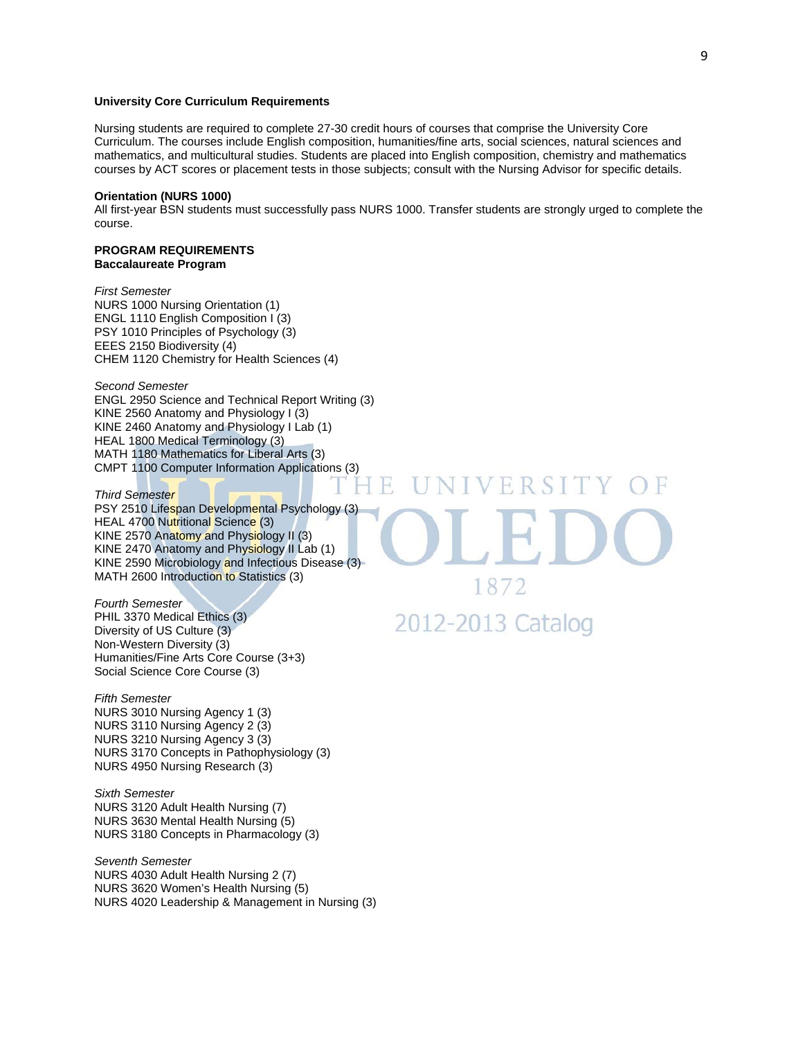## **University Core Curriculum Requirements**

Nursing students are required to complete 27-30 credit hours of courses that comprise the University Core Curriculum. The courses include English composition, humanities/fine arts, social sciences, natural sciences and mathematics, and multicultural studies. Students are placed into English composition, chemistry and mathematics courses by ACT scores or placement tests in those subjects; consult with the Nursing Advisor for specific details.

## **Orientation (NURS 1000)**

All first-year BSN students must successfully pass NURS 1000. Transfer students are strongly urged to complete the course.

H

#### **PROGRAM REQUIREMENTS Baccalaureate Program**

*First Semester*  NURS 1000 Nursing Orientation (1) ENGL 1110 English Composition I (3) PSY 1010 Principles of Psychology (3) EEES 2150 Biodiversity (4) CHEM 1120 Chemistry for Health Sciences (4)

*Second Semester*  ENGL 2950 Science and Technical Report Writing (3) KINE 2560 Anatomy and Physiology I (3) KINE 2460 Anatomy and Physiology I Lab (1) HEAL 1800 Medical Terminology (3) MATH 1180 Mathematics for Liberal Arts (3) CMPT 1100 Computer Information Applications (3)

*Third Semester*  PSY 2510 Lifespan Developmental Psychology (3) HEAL 4700 Nutritional Science (3) KINE 2570 Anatomy and Physiology II (3) KINE 2470 Anatomy and Physiology II Lab (1) KINE 2590 Microbiology and Infectious Disease (3) MATH 2600 Introduction to Statistics (3)

*Fourth Semester*  PHIL 3370 Medical Ethics (3) Diversity of US Culture (3) Non-Western Diversity (3) Humanities/Fine Arts Core Course (3+3) Social Science Core Course (3)

*Fifth Semester*  NURS 3010 Nursing Agency 1 (3) NURS 3110 Nursing Agency 2 (3) NURS 3210 Nursing Agency 3 (3) NURS 3170 Concepts in Pathophysiology (3) NURS 4950 Nursing Research (3)

*Sixth Semester*  NURS 3120 Adult Health Nursing (7) NURS 3630 Mental Health Nursing (5) NURS 3180 Concepts in Pharmacology (3)

*Seventh Semester*  NURS 4030 Adult Health Nursing 2 (7) NURS 3620 Women's Health Nursing (5) NURS 4020 Leadership & Management in Nursing (3) 1872

VERSITY

2012-2013 Catalog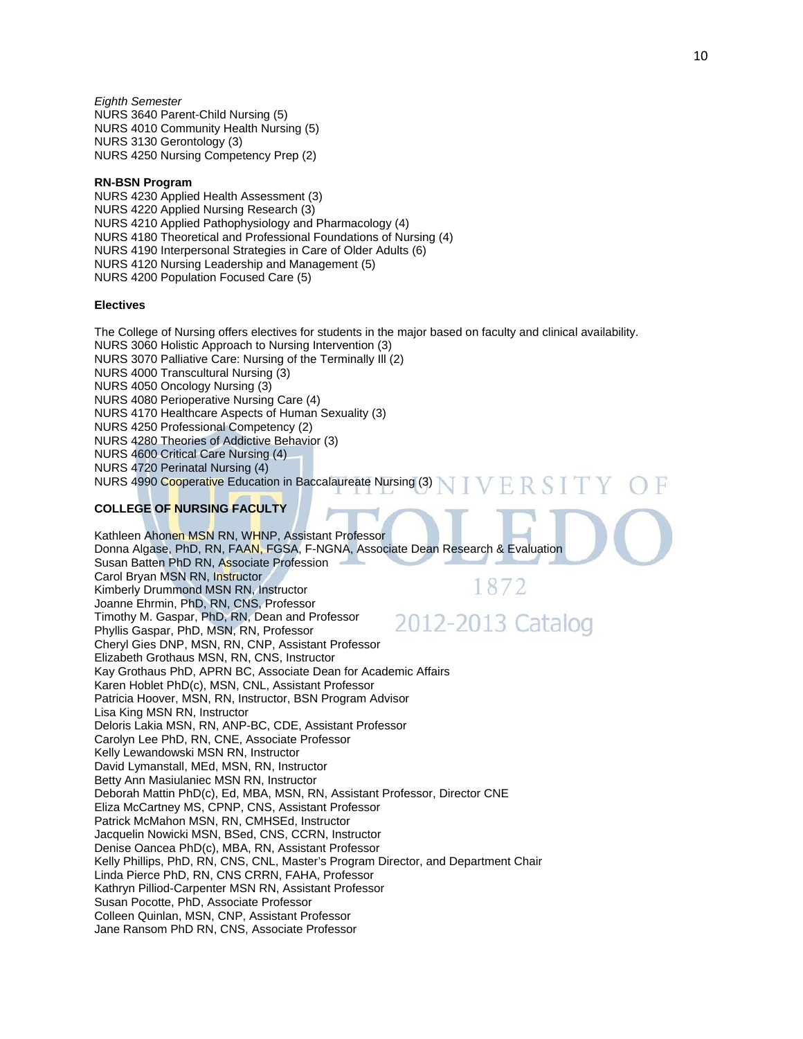*Eighth Semester*  NURS 3640 Parent-Child Nursing (5) NURS 4010 Community Health Nursing (5) NURS 3130 Gerontology (3) NURS 4250 Nursing Competency Prep (2)

## **RN-BSN Program**

NURS 4230 Applied Health Assessment (3) NURS 4220 Applied Nursing Research (3) NURS 4210 Applied Pathophysiology and Pharmacology (4) NURS 4180 Theoretical and Professional Foundations of Nursing (4) NURS 4190 Interpersonal Strategies in Care of Older Adults (6) NURS 4120 Nursing Leadership and Management (5) NURS 4200 Population Focused Care (5)

## **Electives**

The College of Nursing offers electives for students in the major based on faculty and clinical availability. NURS 3060 Holistic Approach to Nursing Intervention (3) NURS 3070 Palliative Care: Nursing of the Terminally Ill (2) NURS 4000 Transcultural Nursing (3) NURS 4050 Oncology Nursing (3) NURS 4080 Perioperative Nursing Care (4) NURS 4170 Healthcare Aspects of Human Sexuality (3) NURS 4250 Professional Competency (2) NURS 4280 Theories of Addictive Behavior (3) NURS 4600 Critical Care Nursing (4) NURS 4720 Perinatal Nursing (4) NURS 4990 Cooperative Education in Baccalaureate Nursing (3)

## ERSIT

## **COLLEGE OF NURSING FACULTY**

Kathleen Ahonen MSN RN, WHNP, Assistant Professor Donna Algase, PhD, RN, FAAN, FGSA, F-NGNA, Associate Dean Research & Evaluation Susan Batten PhD RN, Associate Profession Carol Bryan MSN RN, Instructor 1872 Kimberly Drummond MSN RN, Instructor Joanne Ehrmin, PhD, RN, CNS, Professor Timothy M. Gaspar, PhD, RN, Dean and Professor 2012-2013 Catalog Phyllis Gaspar, PhD, MSN, RN, Professor Cheryl Gies DNP, MSN, RN, CNP, Assistant Professor Elizabeth Grothaus MSN, RN, CNS, Instructor Kay Grothaus PhD, APRN BC, Associate Dean for Academic Affairs Karen Hoblet PhD(c), MSN, CNL, Assistant Professor Patricia Hoover, MSN, RN, Instructor, BSN Program Advisor Lisa King MSN RN, Instructor Deloris Lakia MSN, RN, ANP-BC, CDE, Assistant Professor Carolyn Lee PhD, RN, CNE, Associate Professor Kelly Lewandowski MSN RN, Instructor David Lymanstall, MEd, MSN, RN, Instructor Betty Ann Masiulaniec MSN RN, Instructor Deborah Mattin PhD(c), Ed, MBA, MSN, RN, Assistant Professor, Director CNE Eliza McCartney MS, CPNP, CNS, Assistant Professor Patrick McMahon MSN, RN, CMHSEd, Instructor Jacquelin Nowicki MSN, BSed, CNS, CCRN, Instructor Denise Oancea PhD(c), MBA, RN, Assistant Professor Kelly Phillips, PhD, RN, CNS, CNL, Master's Program Director, and Department Chair Linda Pierce PhD, RN, CNS CRRN, FAHA, Professor Kathryn Pilliod-Carpenter MSN RN, Assistant Professor Susan Pocotte, PhD, Associate Professor Colleen Quinlan, MSN, CNP, Assistant Professor Jane Ransom PhD RN, CNS, Associate Professor